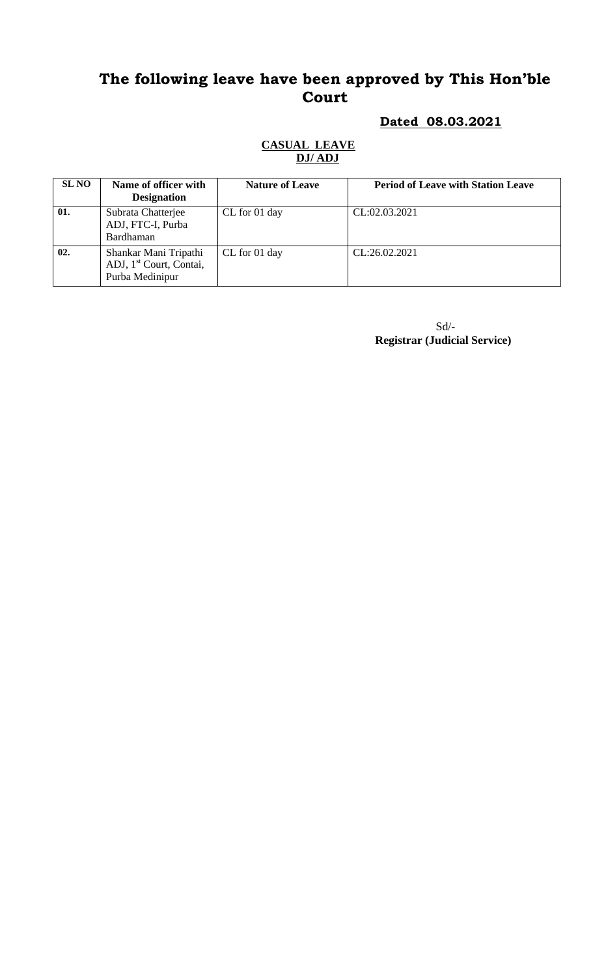#### **Dated 08.03.2021**

#### **CASUAL LEAVE DJ/ ADJ**

| <b>SL NO</b> | Name of officer with<br><b>Designation</b>                                      | <b>Nature of Leave</b> | <b>Period of Leave with Station Leave</b> |
|--------------|---------------------------------------------------------------------------------|------------------------|-------------------------------------------|
| 01.          | Subrata Chatterjee<br>ADJ, FTC-I, Purba<br>Bardhaman                            | CL for 01 day          | CL:02.03.2021                             |
| 02.          | Shankar Mani Tripathi<br>ADJ, 1 <sup>st</sup> Court, Contai,<br>Purba Medinipur | CL for 01 day          | CL:26.02.2021                             |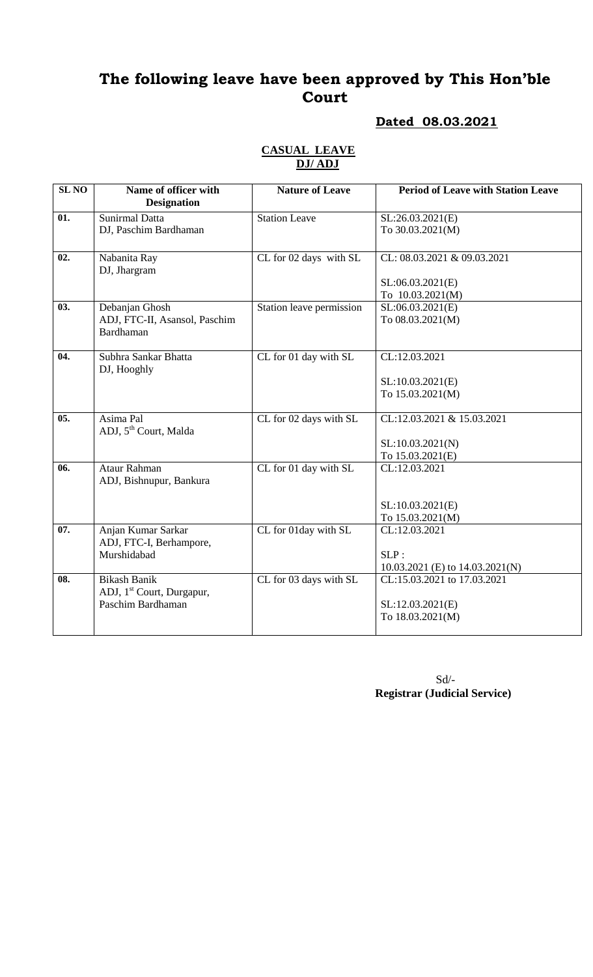#### **Dated 08.03.2021**

| <b>SL NO</b> |                                            |                          |                                           |
|--------------|--------------------------------------------|--------------------------|-------------------------------------------|
|              | Name of officer with<br><b>Designation</b> | <b>Nature of Leave</b>   | <b>Period of Leave with Station Leave</b> |
| 01.          | <b>Sunirmal Datta</b>                      | <b>Station Leave</b>     | SL:26.03.2021(E)                          |
|              | DJ, Paschim Bardhaman                      |                          | To 30.03.2021(M)                          |
| 02.          | Nabanita Ray<br>DJ, Jhargram               | CL for 02 days with SL   | CL: 08.03.2021 & 09.03.2021               |
|              |                                            |                          | SL:06.03.2021(E)                          |
|              |                                            |                          | To 10.03.2021(M)                          |
| 03.          | Debanjan Ghosh                             | Station leave permission | SL:06.03.2021(E)                          |
|              | ADJ, FTC-II, Asansol, Paschim              |                          | To 08.03.2021(M)                          |
|              | Bardhaman                                  |                          |                                           |
| 04.          | Subhra Sankar Bhatta<br>DJ, Hooghly        | CL for 01 day with SL    | CL:12.03.2021                             |
|              |                                            |                          | SL:10.03.2021(E)                          |
|              |                                            |                          | To 15.03.2021(M)                          |
|              |                                            |                          |                                           |
| 05.          | Asima Pal                                  | CL for 02 days with SL   | CL:12.03.2021 & 15.03.2021                |
|              | ADJ, 5 <sup>th</sup> Court, Malda          |                          |                                           |
|              |                                            |                          | SL:10.03.2021(N)                          |
|              |                                            |                          | To 15.03.2021(E)                          |
| 06.          | Ataur Rahman                               | CL for 01 day with SL    | CL:12.03.2021                             |
|              | ADJ, Bishnupur, Bankura                    |                          |                                           |
|              |                                            |                          | SL:10.03.2021(E)                          |
|              |                                            |                          | To 15.03.2021(M)                          |
| 07.          | Anjan Kumar Sarkar                         | CL for 01day with SL     | CL:12.03.2021                             |
|              | ADJ, FTC-I, Berhampore,                    |                          |                                           |
|              | Murshidabad                                |                          | SLP:                                      |
|              |                                            |                          | 10.03.2021 (E) to $14.03.2021(N)$         |
| 08.          | <b>Bikash Banik</b>                        | CL for 03 days with SL   | CL:15.03.2021 to 17.03.2021               |
|              | ADJ, 1 <sup>st</sup> Court, Durgapur,      |                          |                                           |
|              | Paschim Bardhaman                          |                          | SL:12.03.2021(E)                          |
|              |                                            |                          | To 18.03.2021(M)                          |
|              |                                            |                          |                                           |

#### **CASUAL LEAVE DJ/ ADJ**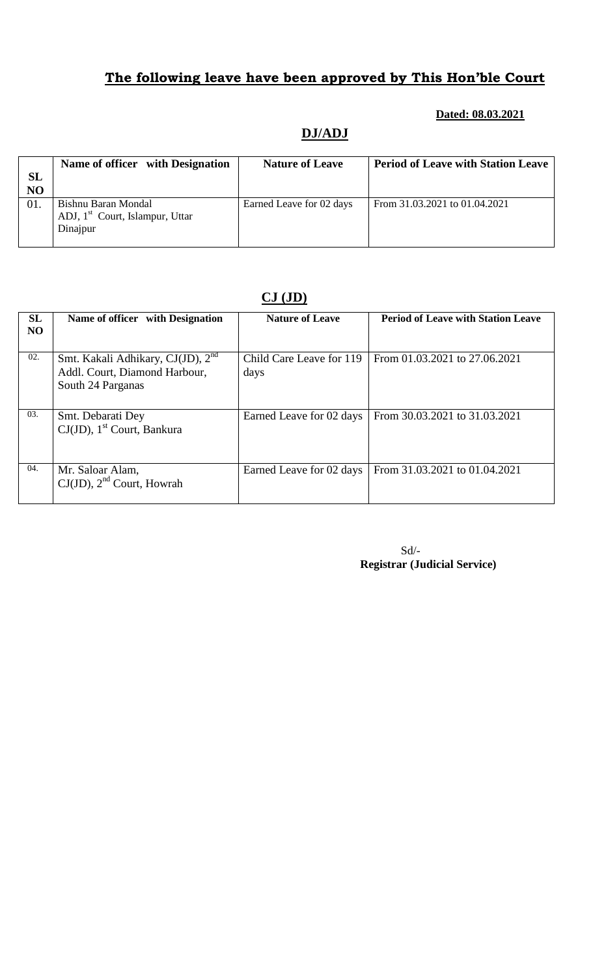#### **Dated: 08.03.2021**

### **DJ/ADJ**

| <b>SL</b><br>NO | Name of officer with Designation                                               | <b>Nature of Leave</b>   | <b>Period of Leave with Station Leave</b> |
|-----------------|--------------------------------------------------------------------------------|--------------------------|-------------------------------------------|
| 01.             | Bishnu Baran Mondal<br>ADJ, 1 <sup>st</sup> Court, Islampur, Uttar<br>Dinajpur | Earned Leave for 02 days | From 31.03.2021 to 01.04.2021             |

#### **CJ (JD)**

| <b>SL</b><br>N <sub>O</sub> | Name of officer with Designation                                                                    | <b>Nature of Leave</b>           | <b>Period of Leave with Station Leave</b> |
|-----------------------------|-----------------------------------------------------------------------------------------------------|----------------------------------|-------------------------------------------|
| 02.                         | Smt. Kakali Adhikary, CJ(JD), 2 <sup>nd</sup><br>Addl. Court, Diamond Harbour,<br>South 24 Parganas | Child Care Leave for 119<br>days | From 01.03.2021 to 27.06.2021             |
| 03.                         | Smt. Debarati Dey<br>$CJ(JD)$ , 1 <sup>st</sup> Court, Bankura                                      | Earned Leave for 02 days         | From 30.03.2021 to 31.03.2021             |
| 04.                         | Mr. Saloar Alam,<br>$CJ(JD)$ , $2nd$ Court, Howrah                                                  | Earned Leave for 02 days         | From 31.03.2021 to 01.04.2021             |